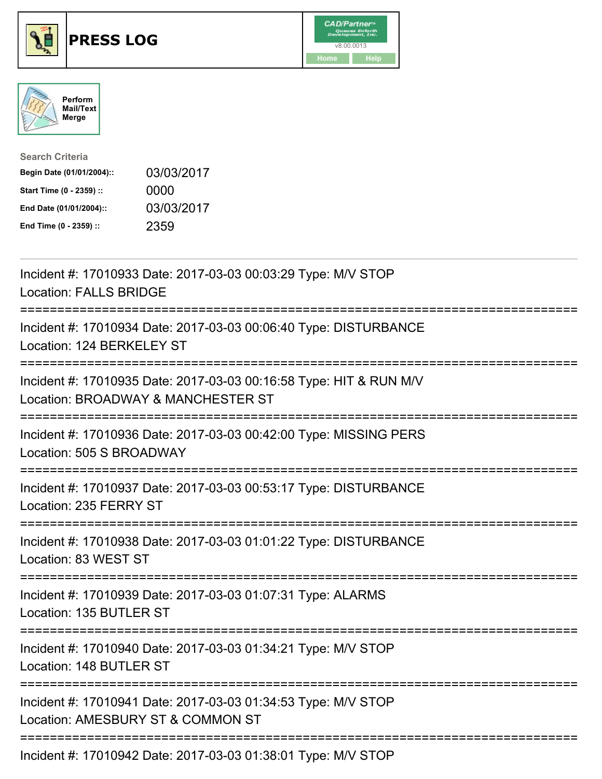





| <b>Search Criteria</b>    |            |
|---------------------------|------------|
| Begin Date (01/01/2004):: | 03/03/2017 |
| Start Time (0 - 2359) ::  | 0000       |
| End Date (01/01/2004)::   | 03/03/2017 |
| End Time (0 - 2359) ::    | 2359       |

| Incident #: 17010933 Date: 2017-03-03 00:03:29 Type: M/V STOP<br><b>Location: FALLS BRIDGE</b>           |
|----------------------------------------------------------------------------------------------------------|
| Incident #: 17010934 Date: 2017-03-03 00:06:40 Type: DISTURBANCE<br>Location: 124 BERKELEY ST            |
| Incident #: 17010935 Date: 2017-03-03 00:16:58 Type: HIT & RUN M/V<br>Location: BROADWAY & MANCHESTER ST |
| Incident #: 17010936 Date: 2017-03-03 00:42:00 Type: MISSING PERS<br>Location: 505 S BROADWAY            |
| Incident #: 17010937 Date: 2017-03-03 00:53:17 Type: DISTURBANCE<br>Location: 235 FERRY ST               |
| Incident #: 17010938 Date: 2017-03-03 01:01:22 Type: DISTURBANCE<br>Location: 83 WEST ST                 |
| Incident #: 17010939 Date: 2017-03-03 01:07:31 Type: ALARMS<br>Location: 135 BUTLER ST                   |
| Incident #: 17010940 Date: 2017-03-03 01:34:21 Type: M/V STOP<br>Location: 148 BUTLER ST                 |
| Incident #: 17010941 Date: 2017-03-03 01:34:53 Type: M/V STOP<br>Location: AMESBURY ST & COMMON ST       |
| Incident #: 17010942 Date: 2017-03-03 01:38:01 Type: M/V STOP                                            |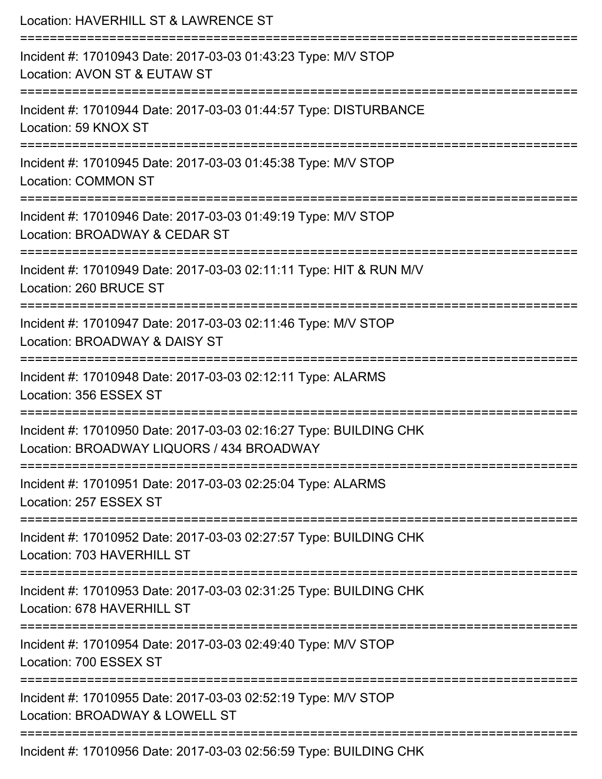| Location: HAVERHILL ST & LAWRENCE ST<br>:==========================                                                                |
|------------------------------------------------------------------------------------------------------------------------------------|
| Incident #: 17010943 Date: 2017-03-03 01:43:23 Type: M/V STOP<br>Location: AVON ST & EUTAW ST<br>---------------                   |
| Incident #: 17010944 Date: 2017-03-03 01:44:57 Type: DISTURBANCE<br>Location: 59 KNOX ST                                           |
| Incident #: 17010945 Date: 2017-03-03 01:45:38 Type: M/V STOP<br><b>Location: COMMON ST</b>                                        |
| ================================<br>Incident #: 17010946 Date: 2017-03-03 01:49:19 Type: M/V STOP<br>Location: BROADWAY & CEDAR ST |
| Incident #: 17010949 Date: 2017-03-03 02:11:11 Type: HIT & RUN M/V<br>Location: 260 BRUCE ST                                       |
| Incident #: 17010947 Date: 2017-03-03 02:11:46 Type: M/V STOP<br>Location: BROADWAY & DAISY ST                                     |
| Incident #: 17010948 Date: 2017-03-03 02:12:11 Type: ALARMS<br>Location: 356 ESSEX ST                                              |
| Incident #: 17010950 Date: 2017-03-03 02:16:27 Type: BUILDING CHK<br>Location: BROADWAY LIQUORS / 434 BROADWAY                     |
| Incident #: 17010951 Date: 2017-03-03 02:25:04 Type: ALARMS<br>Location: 257 ESSEX ST                                              |
| Incident #: 17010952 Date: 2017-03-03 02:27:57 Type: BUILDING CHK<br>Location: 703 HAVERHILL ST                                    |
| Incident #: 17010953 Date: 2017-03-03 02:31:25 Type: BUILDING CHK<br>Location: 678 HAVERHILL ST                                    |
| Incident #: 17010954 Date: 2017-03-03 02:49:40 Type: M/V STOP<br>Location: 700 ESSEX ST                                            |
| Incident #: 17010955 Date: 2017-03-03 02:52:19 Type: M/V STOP<br>Location: BROADWAY & LOWELL ST                                    |
| Incident #: 17010956 Date: 2017-03-03 02:56:59 Type: BUILDING CHK                                                                  |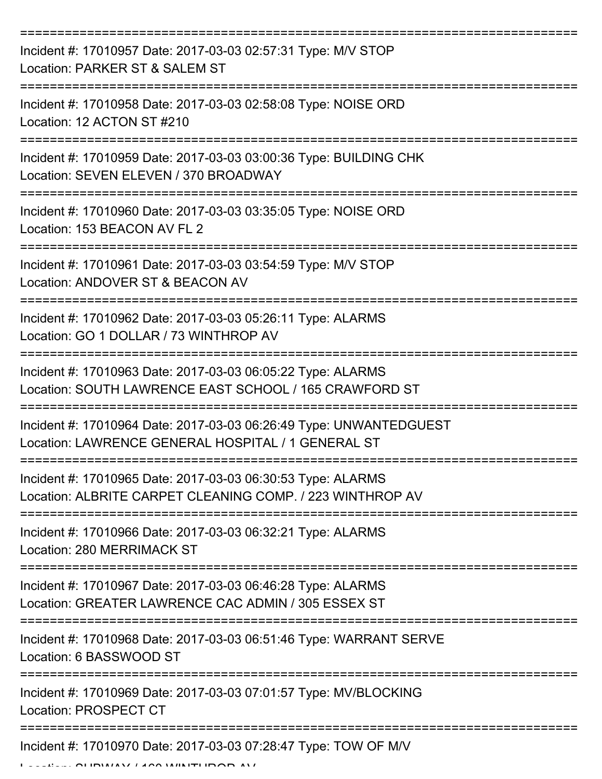| Incident #: 17010957 Date: 2017-03-03 02:57:31 Type: M/V STOP<br>Location: PARKER ST & SALEM ST                          |
|--------------------------------------------------------------------------------------------------------------------------|
| Incident #: 17010958 Date: 2017-03-03 02:58:08 Type: NOISE ORD<br>Location: 12 ACTON ST #210                             |
| Incident #: 17010959 Date: 2017-03-03 03:00:36 Type: BUILDING CHK<br>Location: SEVEN ELEVEN / 370 BROADWAY               |
| Incident #: 17010960 Date: 2017-03-03 03:35:05 Type: NOISE ORD<br>Location: 153 BEACON AV FL 2                           |
| Incident #: 17010961 Date: 2017-03-03 03:54:59 Type: M/V STOP<br>Location: ANDOVER ST & BEACON AV                        |
| Incident #: 17010962 Date: 2017-03-03 05:26:11 Type: ALARMS<br>Location: GO 1 DOLLAR / 73 WINTHROP AV                    |
| Incident #: 17010963 Date: 2017-03-03 06:05:22 Type: ALARMS<br>Location: SOUTH LAWRENCE EAST SCHOOL / 165 CRAWFORD ST    |
| Incident #: 17010964 Date: 2017-03-03 06:26:49 Type: UNWANTEDGUEST<br>Location: LAWRENCE GENERAL HOSPITAL / 1 GENERAL ST |
| Incident #: 17010965 Date: 2017-03-03 06:30:53 Type: ALARMS<br>Location: ALBRITE CARPET CLEANING COMP. / 223 WINTHROP AV |
| Incident #: 17010966 Date: 2017-03-03 06:32:21 Type: ALARMS<br>Location: 280 MERRIMACK ST                                |
| Incident #: 17010967 Date: 2017-03-03 06:46:28 Type: ALARMS<br>Location: GREATER LAWRENCE CAC ADMIN / 305 ESSEX ST       |
| Incident #: 17010968 Date: 2017-03-03 06:51:46 Type: WARRANT SERVE<br>Location: 6 BASSWOOD ST                            |
| Incident #: 17010969 Date: 2017-03-03 07:01:57 Type: MV/BLOCKING<br>Location: PROSPECT CT                                |
| Incident #: 17010970 Date: 2017-03-03 07:28:47 Type: TOW OF M/V                                                          |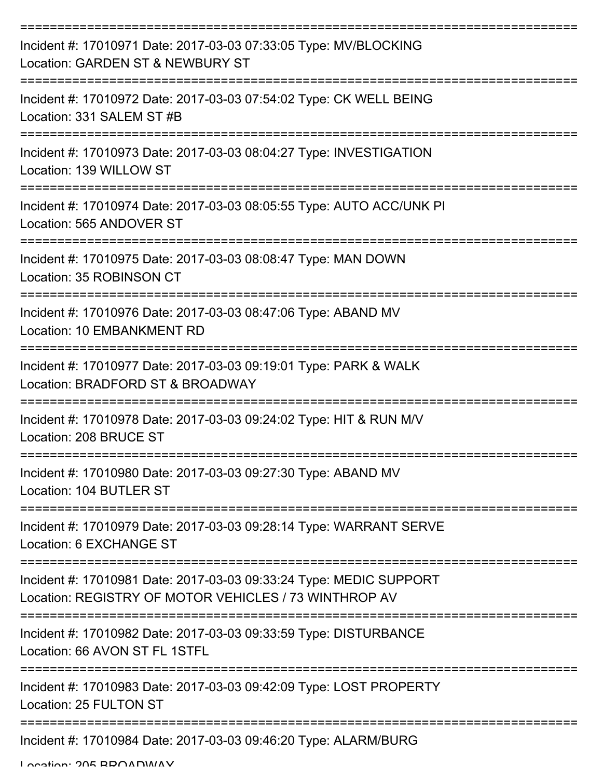| Incident #: 17010971 Date: 2017-03-03 07:33:05 Type: MV/BLOCKING<br>Location: GARDEN ST & NEWBURY ST                        |
|-----------------------------------------------------------------------------------------------------------------------------|
| Incident #: 17010972 Date: 2017-03-03 07:54:02 Type: CK WELL BEING<br>Location: 331 SALEM ST #B                             |
| Incident #: 17010973 Date: 2017-03-03 08:04:27 Type: INVESTIGATION<br>Location: 139 WILLOW ST                               |
| Incident #: 17010974 Date: 2017-03-03 08:05:55 Type: AUTO ACC/UNK PI<br>Location: 565 ANDOVER ST                            |
| Incident #: 17010975 Date: 2017-03-03 08:08:47 Type: MAN DOWN<br>Location: 35 ROBINSON CT                                   |
| Incident #: 17010976 Date: 2017-03-03 08:47:06 Type: ABAND MV<br>Location: 10 EMBANKMENT RD                                 |
| Incident #: 17010977 Date: 2017-03-03 09:19:01 Type: PARK & WALK<br>Location: BRADFORD ST & BROADWAY                        |
| Incident #: 17010978 Date: 2017-03-03 09:24:02 Type: HIT & RUN M/V<br>Location: 208 BRUCE ST                                |
| Incident #: 17010980 Date: 2017-03-03 09:27:30 Type: ABAND MV<br>Location: 104 BUTLER ST                                    |
| Incident #: 17010979 Date: 2017-03-03 09:28:14 Type: WARRANT SERVE<br>Location: 6 EXCHANGE ST                               |
| Incident #: 17010981 Date: 2017-03-03 09:33:24 Type: MEDIC SUPPORT<br>Location: REGISTRY OF MOTOR VEHICLES / 73 WINTHROP AV |
| Incident #: 17010982 Date: 2017-03-03 09:33:59 Type: DISTURBANCE<br>Location: 66 AVON ST FL 1STFL                           |
| Incident #: 17010983 Date: 2017-03-03 09:42:09 Type: LOST PROPERTY<br>Location: 25 FULTON ST                                |
| Incident #: 17010984 Date: 2017-03-03 09:46:20 Type: ALARM/BURG                                                             |

Location: 205 BROADWAY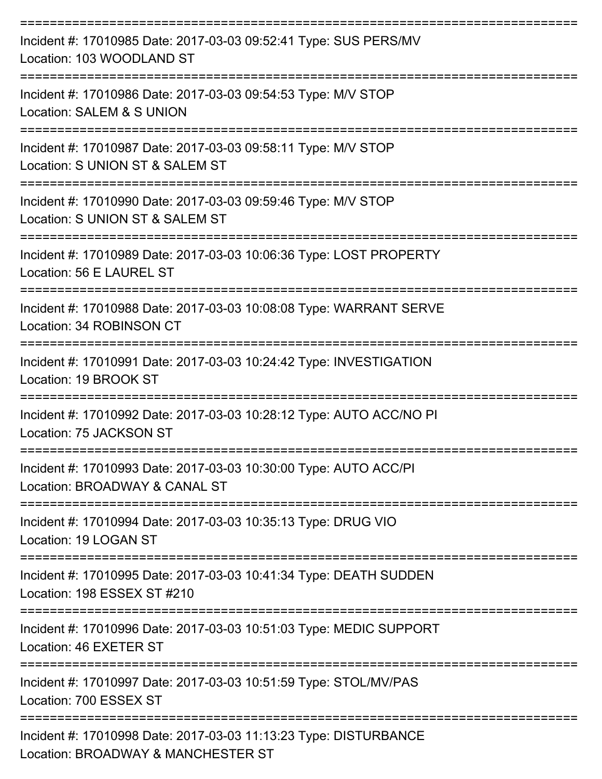| Incident #: 17010985 Date: 2017-03-03 09:52:41 Type: SUS PERS/MV<br>Location: 103 WOODLAND ST                             |
|---------------------------------------------------------------------------------------------------------------------------|
| Incident #: 17010986 Date: 2017-03-03 09:54:53 Type: M/V STOP<br>Location: SALEM & S UNION                                |
| Incident #: 17010987 Date: 2017-03-03 09:58:11 Type: M/V STOP<br>Location: S UNION ST & SALEM ST<br>:==================== |
| Incident #: 17010990 Date: 2017-03-03 09:59:46 Type: M/V STOP<br>Location: S UNION ST & SALEM ST                          |
| Incident #: 17010989 Date: 2017-03-03 10:06:36 Type: LOST PROPERTY<br>Location: 56 E LAUREL ST                            |
| Incident #: 17010988 Date: 2017-03-03 10:08:08 Type: WARRANT SERVE<br>Location: 34 ROBINSON CT                            |
| Incident #: 17010991 Date: 2017-03-03 10:24:42 Type: INVESTIGATION<br>Location: 19 BROOK ST                               |
| Incident #: 17010992 Date: 2017-03-03 10:28:12 Type: AUTO ACC/NO PI<br>Location: 75 JACKSON ST                            |
| Incident #: 17010993 Date: 2017-03-03 10:30:00 Type: AUTO ACC/PI<br>Location: BROADWAY & CANAL ST                         |
| Incident #: 17010994 Date: 2017-03-03 10:35:13 Type: DRUG VIO<br>Location: 19 LOGAN ST                                    |
| Incident #: 17010995 Date: 2017-03-03 10:41:34 Type: DEATH SUDDEN<br>Location: 198 ESSEX ST #210                          |
| Incident #: 17010996 Date: 2017-03-03 10:51:03 Type: MEDIC SUPPORT<br>Location: 46 EXETER ST                              |
| Incident #: 17010997 Date: 2017-03-03 10:51:59 Type: STOL/MV/PAS<br>Location: 700 ESSEX ST                                |
| Incident #: 17010998 Date: 2017-03-03 11:13:23 Type: DISTURBANCE<br>Location: BROADWAY & MANCHESTER ST                    |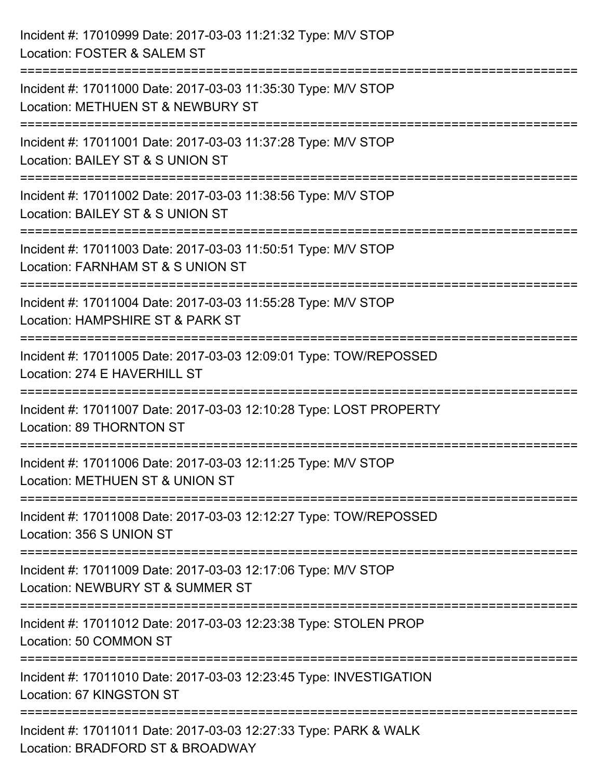| Incident #: 17010999 Date: 2017-03-03 11:21:32 Type: M/V STOP<br>Location: FOSTER & SALEM ST                                               |
|--------------------------------------------------------------------------------------------------------------------------------------------|
| ====================================<br>Incident #: 17011000 Date: 2017-03-03 11:35:30 Type: M/V STOP<br>Location: METHUEN ST & NEWBURY ST |
| ========================<br>Incident #: 17011001 Date: 2017-03-03 11:37:28 Type: M/V STOP<br>Location: BAILEY ST & S UNION ST              |
| Incident #: 17011002 Date: 2017-03-03 11:38:56 Type: M/V STOP<br>Location: BAILEY ST & S UNION ST                                          |
| Incident #: 17011003 Date: 2017-03-03 11:50:51 Type: M/V STOP<br>Location: FARNHAM ST & S UNION ST                                         |
| Incident #: 17011004 Date: 2017-03-03 11:55:28 Type: M/V STOP<br>Location: HAMPSHIRE ST & PARK ST                                          |
| .---------------------<br>Incident #: 17011005 Date: 2017-03-03 12:09:01 Type: TOW/REPOSSED<br>Location: 274 E HAVERHILL ST                |
| Incident #: 17011007 Date: 2017-03-03 12:10:28 Type: LOST PROPERTY<br>Location: 89 THORNTON ST                                             |
| Incident #: 17011006 Date: 2017-03-03 12:11:25 Type: M/V STOP<br>Location: METHUEN ST & UNION ST                                           |
| Incident #: 17011008 Date: 2017-03-03 12:12:27 Type: TOW/REPOSSED<br>Location: 356 S UNION ST                                              |
| Incident #: 17011009 Date: 2017-03-03 12:17:06 Type: M/V STOP<br>Location: NEWBURY ST & SUMMER ST                                          |
| Incident #: 17011012 Date: 2017-03-03 12:23:38 Type: STOLEN PROP<br>Location: 50 COMMON ST                                                 |
| Incident #: 17011010 Date: 2017-03-03 12:23:45 Type: INVESTIGATION<br>Location: 67 KINGSTON ST                                             |
| Incident #: 17011011 Date: 2017-03-03 12:27:33 Type: PARK & WALK<br>Location: BRADFORD ST & BROADWAY                                       |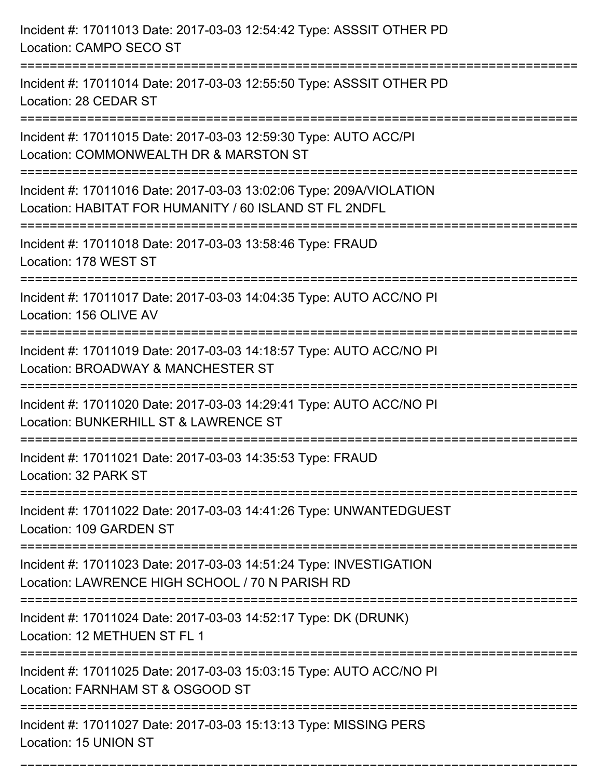| Incident #: 17011013 Date: 2017-03-03 12:54:42 Type: ASSSIT OTHER PD<br>Location: CAMPO SECO ST                               |
|-------------------------------------------------------------------------------------------------------------------------------|
| Incident #: 17011014 Date: 2017-03-03 12:55:50 Type: ASSSIT OTHER PD<br>Location: 28 CEDAR ST                                 |
| Incident #: 17011015 Date: 2017-03-03 12:59:30 Type: AUTO ACC/PI<br>Location: COMMONWEALTH DR & MARSTON ST                    |
| Incident #: 17011016 Date: 2017-03-03 13:02:06 Type: 209A/VIOLATION<br>Location: HABITAT FOR HUMANITY / 60 ISLAND ST FL 2NDFL |
| Incident #: 17011018 Date: 2017-03-03 13:58:46 Type: FRAUD<br>Location: 178 WEST ST                                           |
| Incident #: 17011017 Date: 2017-03-03 14:04:35 Type: AUTO ACC/NO PI<br>Location: 156 OLIVE AV                                 |
| Incident #: 17011019 Date: 2017-03-03 14:18:57 Type: AUTO ACC/NO PI<br>Location: BROADWAY & MANCHESTER ST                     |
| Incident #: 17011020 Date: 2017-03-03 14:29:41 Type: AUTO ACC/NO PI<br>Location: BUNKERHILL ST & LAWRENCE ST                  |
| Incident #: 17011021 Date: 2017-03-03 14:35:53 Type: FRAUD<br>Location: 32 PARK ST                                            |
| Incident #: 17011022 Date: 2017-03-03 14:41:26 Type: UNWANTEDGUEST<br>Location: 109 GARDEN ST                                 |
| Incident #: 17011023 Date: 2017-03-03 14:51:24 Type: INVESTIGATION<br>Location: LAWRENCE HIGH SCHOOL / 70 N PARISH RD         |
| Incident #: 17011024 Date: 2017-03-03 14:52:17 Type: DK (DRUNK)<br>Location: 12 METHUEN ST FL 1                               |
| Incident #: 17011025 Date: 2017-03-03 15:03:15 Type: AUTO ACC/NO PI<br>Location: FARNHAM ST & OSGOOD ST                       |
| Incident #: 17011027 Date: 2017-03-03 15:13:13 Type: MISSING PERS<br>Location: 15 UNION ST                                    |

===========================================================================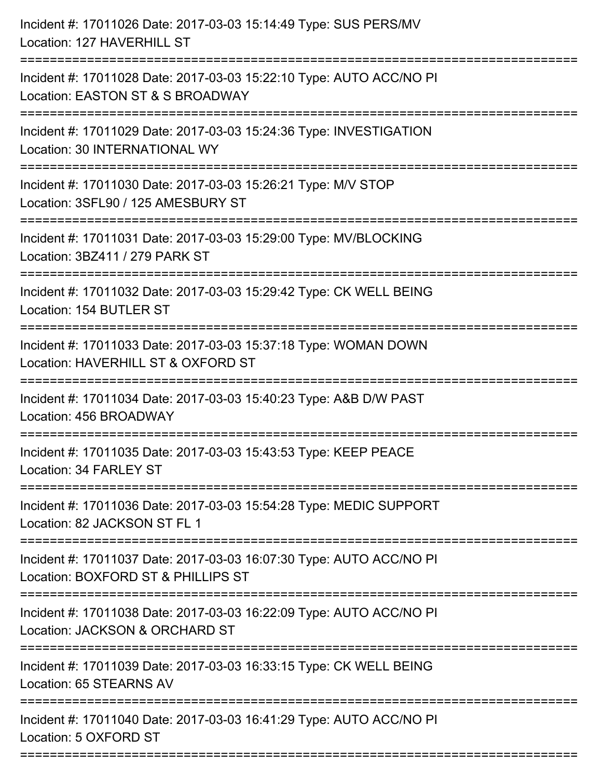| Incident #: 17011028 Date: 2017-03-03 15:22:10 Type: AUTO ACC/NO PI<br>Location: EASTON ST & S BROADWAY<br>Incident #: 17011029 Date: 2017-03-03 15:24:36 Type: INVESTIGATION<br>Location: 30 INTERNATIONAL WY<br>:=========================<br>Incident #: 17011030 Date: 2017-03-03 15:26:21 Type: M/V STOP<br>Location: 3SFL90 / 125 AMESBURY ST<br>Incident #: 17011031 Date: 2017-03-03 15:29:00 Type: MV/BLOCKING<br>Location: 3BZ411 / 279 PARK ST<br>Incident #: 17011032 Date: 2017-03-03 15:29:42 Type: CK WELL BEING<br>Location: 154 BUTLER ST<br>Incident #: 17011033 Date: 2017-03-03 15:37:18 Type: WOMAN DOWN<br>Location: HAVERHILL ST & OXFORD ST<br>Incident #: 17011034 Date: 2017-03-03 15:40:23 Type: A&B D/W PAST<br>Location: 456 BROADWAY<br>Incident #: 17011035 Date: 2017-03-03 15:43:53 Type: KEEP PEACE<br>Location: 34 FARLEY ST<br>Incident #: 17011036 Date: 2017-03-03 15:54:28 Type: MEDIC SUPPORT<br>Location: 82 JACKSON ST FL 1<br>Incident #: 17011037 Date: 2017-03-03 16:07:30 Type: AUTO ACC/NO PI<br>Location: BOXFORD ST & PHILLIPS ST<br>Incident #: 17011038 Date: 2017-03-03 16:22:09 Type: AUTO ACC/NO PI<br>Location: JACKSON & ORCHARD ST<br>Incident #: 17011039 Date: 2017-03-03 16:33:15 Type: CK WELL BEING<br>Location: 65 STEARNS AV<br>Incident #: 17011040 Date: 2017-03-03 16:41:29 Type: AUTO ACC/NO PI<br>Location: 5 OXFORD ST | Incident #: 17011026 Date: 2017-03-03 15:14:49 Type: SUS PERS/MV<br>Location: 127 HAVERHILL ST |
|----------------------------------------------------------------------------------------------------------------------------------------------------------------------------------------------------------------------------------------------------------------------------------------------------------------------------------------------------------------------------------------------------------------------------------------------------------------------------------------------------------------------------------------------------------------------------------------------------------------------------------------------------------------------------------------------------------------------------------------------------------------------------------------------------------------------------------------------------------------------------------------------------------------------------------------------------------------------------------------------------------------------------------------------------------------------------------------------------------------------------------------------------------------------------------------------------------------------------------------------------------------------------------------------------------------------------------------------------------------------------------------------|------------------------------------------------------------------------------------------------|
|                                                                                                                                                                                                                                                                                                                                                                                                                                                                                                                                                                                                                                                                                                                                                                                                                                                                                                                                                                                                                                                                                                                                                                                                                                                                                                                                                                                              |                                                                                                |
|                                                                                                                                                                                                                                                                                                                                                                                                                                                                                                                                                                                                                                                                                                                                                                                                                                                                                                                                                                                                                                                                                                                                                                                                                                                                                                                                                                                              |                                                                                                |
|                                                                                                                                                                                                                                                                                                                                                                                                                                                                                                                                                                                                                                                                                                                                                                                                                                                                                                                                                                                                                                                                                                                                                                                                                                                                                                                                                                                              |                                                                                                |
|                                                                                                                                                                                                                                                                                                                                                                                                                                                                                                                                                                                                                                                                                                                                                                                                                                                                                                                                                                                                                                                                                                                                                                                                                                                                                                                                                                                              |                                                                                                |
|                                                                                                                                                                                                                                                                                                                                                                                                                                                                                                                                                                                                                                                                                                                                                                                                                                                                                                                                                                                                                                                                                                                                                                                                                                                                                                                                                                                              |                                                                                                |
|                                                                                                                                                                                                                                                                                                                                                                                                                                                                                                                                                                                                                                                                                                                                                                                                                                                                                                                                                                                                                                                                                                                                                                                                                                                                                                                                                                                              |                                                                                                |
|                                                                                                                                                                                                                                                                                                                                                                                                                                                                                                                                                                                                                                                                                                                                                                                                                                                                                                                                                                                                                                                                                                                                                                                                                                                                                                                                                                                              |                                                                                                |
|                                                                                                                                                                                                                                                                                                                                                                                                                                                                                                                                                                                                                                                                                                                                                                                                                                                                                                                                                                                                                                                                                                                                                                                                                                                                                                                                                                                              |                                                                                                |
|                                                                                                                                                                                                                                                                                                                                                                                                                                                                                                                                                                                                                                                                                                                                                                                                                                                                                                                                                                                                                                                                                                                                                                                                                                                                                                                                                                                              |                                                                                                |
|                                                                                                                                                                                                                                                                                                                                                                                                                                                                                                                                                                                                                                                                                                                                                                                                                                                                                                                                                                                                                                                                                                                                                                                                                                                                                                                                                                                              |                                                                                                |
|                                                                                                                                                                                                                                                                                                                                                                                                                                                                                                                                                                                                                                                                                                                                                                                                                                                                                                                                                                                                                                                                                                                                                                                                                                                                                                                                                                                              |                                                                                                |
|                                                                                                                                                                                                                                                                                                                                                                                                                                                                                                                                                                                                                                                                                                                                                                                                                                                                                                                                                                                                                                                                                                                                                                                                                                                                                                                                                                                              |                                                                                                |
|                                                                                                                                                                                                                                                                                                                                                                                                                                                                                                                                                                                                                                                                                                                                                                                                                                                                                                                                                                                                                                                                                                                                                                                                                                                                                                                                                                                              |                                                                                                |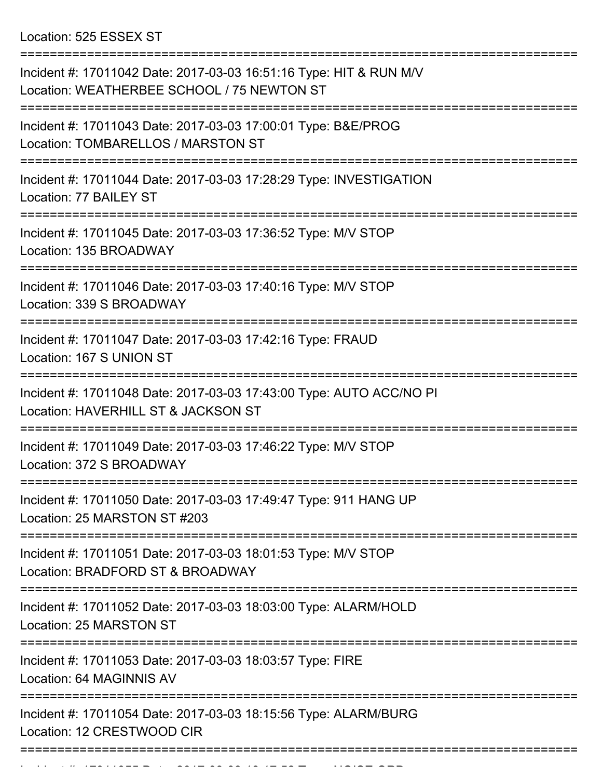Location: 525 ESSEX ST

| Incident #: 17011042 Date: 2017-03-03 16:51:16 Type: HIT & RUN M/V<br>Location: WEATHERBEE SCHOOL / 75 NEWTON ST |
|------------------------------------------------------------------------------------------------------------------|
| Incident #: 17011043 Date: 2017-03-03 17:00:01 Type: B&E/PROG<br>Location: TOMBARELLOS / MARSTON ST              |
| Incident #: 17011044 Date: 2017-03-03 17:28:29 Type: INVESTIGATION<br>Location: 77 BAILEY ST                     |
| Incident #: 17011045 Date: 2017-03-03 17:36:52 Type: M/V STOP<br>Location: 135 BROADWAY                          |
| Incident #: 17011046 Date: 2017-03-03 17:40:16 Type: M/V STOP<br>Location: 339 S BROADWAY                        |
| Incident #: 17011047 Date: 2017-03-03 17:42:16 Type: FRAUD<br>Location: 167 S UNION ST                           |
| Incident #: 17011048 Date: 2017-03-03 17:43:00 Type: AUTO ACC/NO PI<br>Location: HAVERHILL ST & JACKSON ST       |
| Incident #: 17011049 Date: 2017-03-03 17:46:22 Type: M/V STOP<br>Location: 372 S BROADWAY                        |
| Incident #: 17011050 Date: 2017-03-03 17:49:47 Type: 911 HANG UP<br>Location: 25 MARSTON ST #203                 |
| Incident #: 17011051 Date: 2017-03-03 18:01:53 Type: M/V STOP<br>Location: BRADFORD ST & BROADWAY                |
| Incident #: 17011052 Date: 2017-03-03 18:03:00 Type: ALARM/HOLD<br>Location: 25 MARSTON ST                       |
| Incident #: 17011053 Date: 2017-03-03 18:03:57 Type: FIRE<br>Location: 64 MAGINNIS AV                            |
| Incident #: 17011054 Date: 2017-03-03 18:15:56 Type: ALARM/BURG<br>Location: 12 CRESTWOOD CIR                    |
|                                                                                                                  |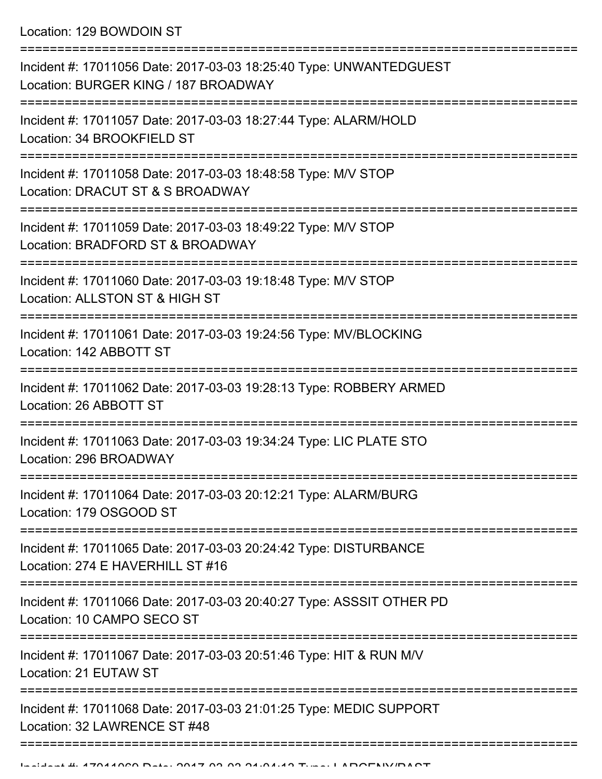Location: 129 BOWDOIN ST

| Incident #: 17011056 Date: 2017-03-03 18:25:40 Type: UNWANTEDGUEST<br>Location: BURGER KING / 187 BROADWAY               |
|--------------------------------------------------------------------------------------------------------------------------|
| Incident #: 17011057 Date: 2017-03-03 18:27:44 Type: ALARM/HOLD<br>Location: 34 BROOKFIELD ST                            |
| Incident #: 17011058 Date: 2017-03-03 18:48:58 Type: M/V STOP<br>Location: DRACUT ST & S BROADWAY                        |
| Incident #: 17011059 Date: 2017-03-03 18:49:22 Type: M/V STOP<br>Location: BRADFORD ST & BROADWAY                        |
| Incident #: 17011060 Date: 2017-03-03 19:18:48 Type: M/V STOP<br>Location: ALLSTON ST & HIGH ST                          |
| Incident #: 17011061 Date: 2017-03-03 19:24:56 Type: MV/BLOCKING<br>Location: 142 ABBOTT ST                              |
| Incident #: 17011062 Date: 2017-03-03 19:28:13 Type: ROBBERY ARMED<br>Location: 26 ABBOTT ST                             |
| Incident #: 17011063 Date: 2017-03-03 19:34:24 Type: LIC PLATE STO<br>Location: 296 BROADWAY                             |
| Incident #: 17011064 Date: 2017-03-03 20:12:21 Type: ALARM/BURG<br>Location: 179 OSGOOD ST                               |
| ----------------<br>Incident #: 17011065 Date: 2017-03-03 20:24:42 Type: DISTURBANCE<br>Location: 274 E HAVERHILL ST #16 |
| Incident #: 17011066 Date: 2017-03-03 20:40:27 Type: ASSSIT OTHER PD<br>Location: 10 CAMPO SECO ST                       |
| Incident #: 17011067 Date: 2017-03-03 20:51:46 Type: HIT & RUN M/V<br>Location: 21 EUTAW ST                              |
| Incident #: 17011068 Date: 2017-03-03 21:01:25 Type: MEDIC SUPPORT<br>Location: 32 LAWRENCE ST #48                       |
|                                                                                                                          |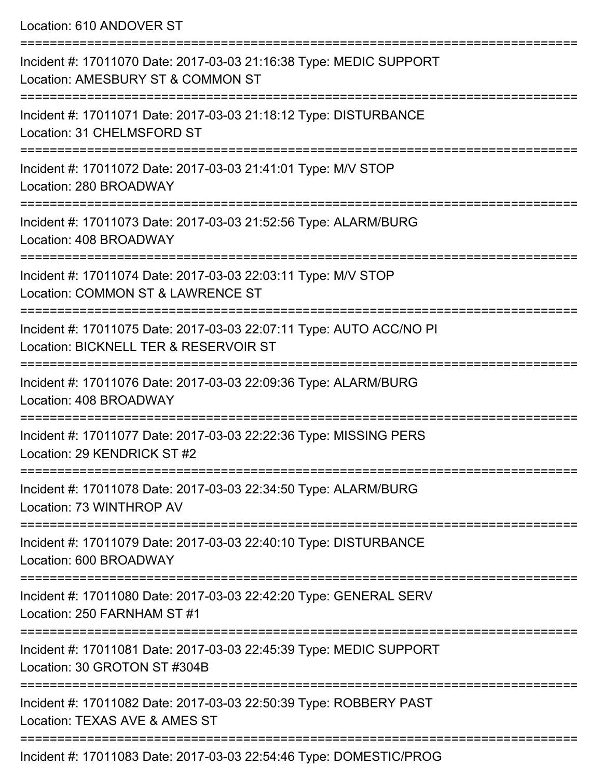Location: 610 ANDOVER ST

| Incident #: 17011070 Date: 2017-03-03 21:16:38 Type: MEDIC SUPPORT<br>Location: AMESBURY ST & COMMON ST      |
|--------------------------------------------------------------------------------------------------------------|
| Incident #: 17011071 Date: 2017-03-03 21:18:12 Type: DISTURBANCE<br>Location: 31 CHELMSFORD ST               |
| Incident #: 17011072 Date: 2017-03-03 21:41:01 Type: M/V STOP<br>Location: 280 BROADWAY                      |
| Incident #: 17011073 Date: 2017-03-03 21:52:56 Type: ALARM/BURG<br>Location: 408 BROADWAY                    |
| Incident #: 17011074 Date: 2017-03-03 22:03:11 Type: M/V STOP<br>Location: COMMON ST & LAWRENCE ST           |
| Incident #: 17011075 Date: 2017-03-03 22:07:11 Type: AUTO ACC/NO PI<br>Location: BICKNELL TER & RESERVOIR ST |
| Incident #: 17011076 Date: 2017-03-03 22:09:36 Type: ALARM/BURG<br>Location: 408 BROADWAY                    |
| Incident #: 17011077 Date: 2017-03-03 22:22:36 Type: MISSING PERS<br>Location: 29 KENDRICK ST #2             |
| Incident #: 17011078 Date: 2017-03-03 22:34:50 Type: ALARM/BURG<br>Location: 73 WINTHROP AV                  |
| Incident #: 17011079 Date: 2017-03-03 22:40:10 Type: DISTURBANCE<br>Location: 600 BROADWAY                   |
| Incident #: 17011080 Date: 2017-03-03 22:42:20 Type: GENERAL SERV<br>Location: 250 FARNHAM ST #1             |
| Incident #: 17011081 Date: 2017-03-03 22:45:39 Type: MEDIC SUPPORT<br>Location: 30 GROTON ST #304B           |
| Incident #: 17011082 Date: 2017-03-03 22:50:39 Type: ROBBERY PAST<br>Location: TEXAS AVE & AMES ST           |
| Incident #: 17011083 Date: 2017-03-03 22:54:46 Type: DOMESTIC/PROG                                           |